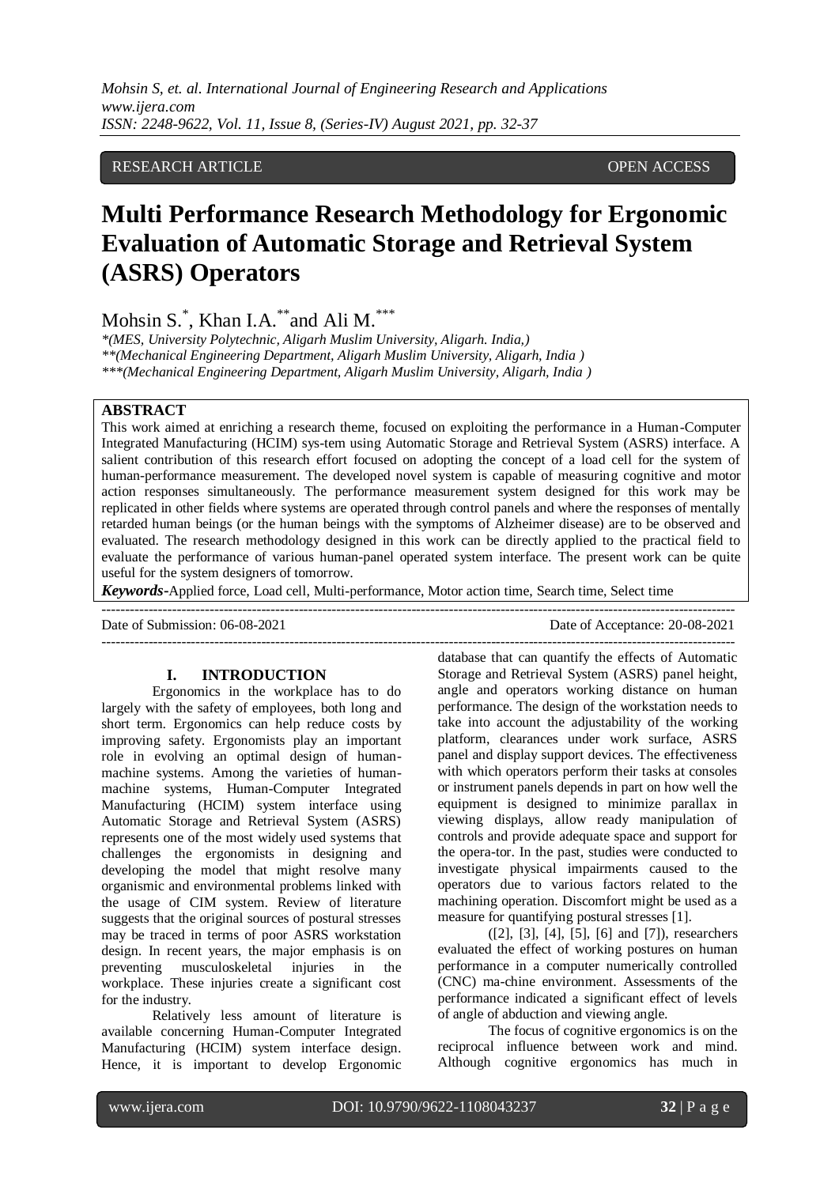# RESEARCH ARTICLE **CONSERVERS** OPEN ACCESS

# **Multi Performance Research Methodology for Ergonomic Evaluation of Automatic Storage and Retrieval System (ASRS) Operators**

Mohsin S.<sup>\*</sup>, Khan I.A.<sup>\*\*</sup>and Ali M.<sup>\*\*\*</sup>

*\*(MES, University Polytechnic, Aligarh Muslim University, Aligarh. India,) \*\*(Mechanical Engineering Department, Aligarh Muslim University, Aligarh, India ) \*\*\*(Mechanical Engineering Department, Aligarh Muslim University, Aligarh, India )*

#### **ABSTRACT**

This work aimed at enriching a research theme, focused on exploiting the performance in a Human-Computer Integrated Manufacturing (HCIM) sys-tem using Automatic Storage and Retrieval System (ASRS) interface. A salient contribution of this research effort focused on adopting the concept of a load cell for the system of human-performance measurement. The developed novel system is capable of measuring cognitive and motor action responses simultaneously. The performance measurement system designed for this work may be replicated in other fields where systems are operated through control panels and where the responses of mentally retarded human beings (or the human beings with the symptoms of Alzheimer disease) are to be observed and evaluated. The research methodology designed in this work can be directly applied to the practical field to evaluate the performance of various human-panel operated system interface. The present work can be quite useful for the system designers of tomorrow.

*Keywords***-**Applied force, Load cell, Multi-performance, Motor action time, Search time, Select time

---------------------------------------------------------------------------------------------------------------------------------------

Date of Submission: 06-08-2021 Date of Acceptance: 20-08-2021

#### **I. INTRODUCTION**

Ergonomics in the workplace has to do largely with the safety of employees, both long and short term. Ergonomics can help reduce costs by improving safety. Ergonomists play an important role in evolving an optimal design of humanmachine systems. Among the varieties of humanmachine systems, Human-Computer Integrated Manufacturing (HCIM) system interface using Automatic Storage and Retrieval System (ASRS) represents one of the most widely used systems that challenges the ergonomists in designing and developing the model that might resolve many organismic and environmental problems linked with the usage of CIM system. Review of literature suggests that the original sources of postural stresses may be traced in terms of poor ASRS workstation design. In recent years, the major emphasis is on preventing musculoskeletal injuries in the workplace. These injuries create a significant cost for the industry.

Relatively less amount of literature is available concerning Human-Computer Integrated Manufacturing (HCIM) system interface design. Hence, it is important to develop Ergonomic

-------------------------------------------------------------------------------------------------------------------------------------- database that can quantify the effects of Automatic Storage and Retrieval System (ASRS) panel height, angle and operators working distance on human performance. The design of the workstation needs to take into account the adjustability of the working platform, clearances under work surface, ASRS panel and display support devices. The effectiveness with which operators perform their tasks at consoles or instrument panels depends in part on how well the equipment is designed to minimize parallax in viewing displays, allow ready manipulation of controls and provide adequate space and support for the opera-tor. In the past, studies were conducted to investigate physical impairments caused to the operators due to various factors related to the machining operation. Discomfort might be used as a measure for quantifying postural stresses [1].

([2], [3], [4], [5], [6] and [7]), researchers evaluated the effect of working postures on human performance in a computer numerically controlled (CNC) ma-chine environment. Assessments of the performance indicated a significant effect of levels of angle of abduction and viewing angle.

The focus of cognitive ergonomics is on the reciprocal influence between work and mind. Although cognitive ergonomics has much in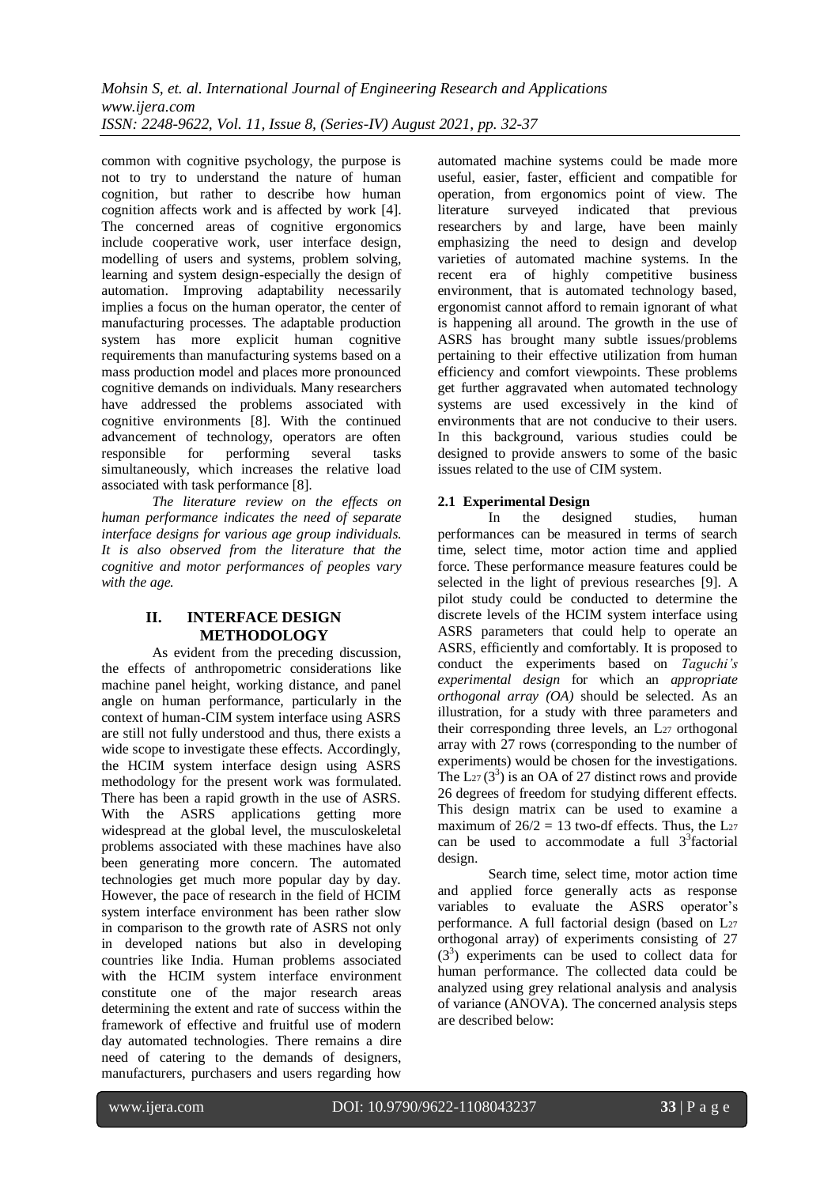common with cognitive psychology, the purpose is not to try to understand the nature of human cognition, but rather to describe how human cognition affects work and is affected by work [4]. The concerned areas of cognitive ergonomics include cooperative work, user interface design, modelling of users and systems, problem solving, learning and system design-especially the design of automation. Improving adaptability necessarily implies a focus on the human operator, the center of manufacturing processes. The adaptable production system has more explicit human cognitive requirements than manufacturing systems based on a mass production model and places more pronounced cognitive demands on individuals. Many researchers have addressed the problems associated with cognitive environments [8]. With the continued advancement of technology, operators are often responsible for performing several tasks simultaneously, which increases the relative load associated with task performance [8].

*The literature review on the effects on human performance indicates the need of separate interface designs for various age group individuals. It is also observed from the literature that the cognitive and motor performances of peoples vary with the age.*

# **II. INTERFACE DESIGN METHODOLOGY**

As evident from the preceding discussion, the effects of anthropometric considerations like machine panel height, working distance, and panel angle on human performance, particularly in the context of human-CIM system interface using ASRS are still not fully understood and thus, there exists a wide scope to investigate these effects. Accordingly, the HCIM system interface design using ASRS methodology for the present work was formulated. There has been a rapid growth in the use of ASRS. With the ASRS applications getting more widespread at the global level, the musculoskeletal problems associated with these machines have also been generating more concern. The automated technologies get much more popular day by day. However, the pace of research in the field of HCIM system interface environment has been rather slow in comparison to the growth rate of ASRS not only in developed nations but also in developing countries like India. Human problems associated with the HCIM system interface environment constitute one of the major research areas determining the extent and rate of success within the framework of effective and fruitful use of modern day automated technologies. There remains a dire need of catering to the demands of designers, manufacturers, purchasers and users regarding how

automated machine systems could be made more useful, easier, faster, efficient and compatible for operation, from ergonomics point of view. The literature surveyed indicated that previous researchers by and large, have been mainly emphasizing the need to design and develop varieties of automated machine systems. In the recent era of highly competitive business environment, that is automated technology based, ergonomist cannot afford to remain ignorant of what is happening all around. The growth in the use of ASRS has brought many subtle issues/problems pertaining to their effective utilization from human efficiency and comfort viewpoints. These problems get further aggravated when automated technology systems are used excessively in the kind of environments that are not conducive to their users. In this background, various studies could be designed to provide answers to some of the basic issues related to the use of CIM system.

# **2.1 Experimental Design**

In the designed studies, human performances can be measured in terms of search time, select time, motor action time and applied force. These performance measure features could be selected in the light of previous researches [9]. A pilot study could be conducted to determine the discrete levels of the HCIM system interface using ASRS parameters that could help to operate an ASRS, efficiently and comfortably. It is proposed to conduct the experiments based on *Taguchi's experimental design* for which an *appropriate orthogonal array (OA)* should be selected. As an illustration, for a study with three parameters and their corresponding three levels, an  $L_{27}$  orthogonal array with 27 rows (corresponding to the number of experiments) would be chosen for the investigations. The  $L_{27}(3^3)$  is an OA of 27 distinct rows and provide 26 degrees of freedom for studying different effects. This design matrix can be used to examine a maximum of  $26/2 = 13$  two-df effects. Thus, the L<sub>27</sub> can be used to accommodate a full  $3<sup>3</sup>$  factorial design.

Search time, select time, motor action time and applied force generally acts as response variables to evaluate the ASRS operator's performance. A full factorial design (based on L<sup>27</sup> orthogonal array) of experiments consisting of 27 (33 ) experiments can be used to collect data for human performance. The collected data could be analyzed using grey relational analysis and analysis of variance (ANOVA). The concerned analysis steps are described below: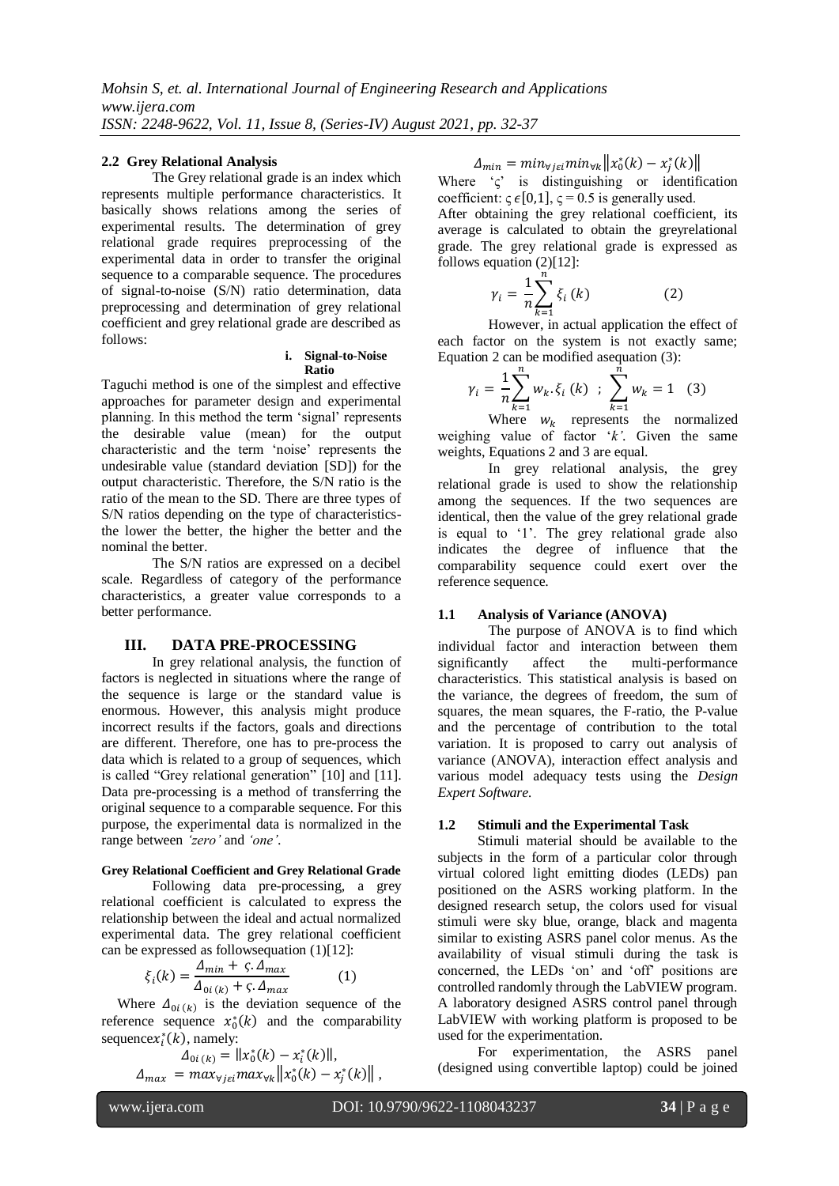#### **2.2 Grey Relational Analysis**

The Grey relational grade is an index which represents multiple performance characteristics. It basically shows relations among the series of experimental results. The determination of grey relational grade requires preprocessing of the experimental data in order to transfer the original sequence to a comparable sequence. The procedures of signal-to-noise (S/N) ratio determination, data preprocessing and determination of grey relational coefficient and grey relational grade are described as follows:

#### **i. Signal-to-Noise Ratio**

Taguchi method is one of the simplest and effective approaches for parameter design and experimental planning. In this method the term 'signal' represents the desirable value (mean) for the output characteristic and the term 'noise' represents the undesirable value (standard deviation [SD]) for the output characteristic. Therefore, the S/N ratio is the ratio of the mean to the SD. There are three types of S/N ratios depending on the type of characteristicsthe lower the better, the higher the better and the nominal the better.

The S/N ratios are expressed on a decibel scale. Regardless of category of the performance characteristics, a greater value corresponds to a better performance.

#### **III. DATA PRE-PROCESSING**

In grey relational analysis, the function of factors is neglected in situations where the range of the sequence is large or the standard value is enormous. However, this analysis might produce incorrect results if the factors, goals and directions are different. Therefore, one has to pre-process the data which is related to a group of sequences, which is called "Grey relational generation" [10] and [11]. Data pre-processing is a method of transferring the original sequence to a comparable sequence. For this purpose, the experimental data is normalized in the range between *'zero'* and *'one'*.

#### **Grey Relational Coefficient and Grey Relational Grade**

Following data pre-processing, a grey relational coefficient is calculated to express the relationship between the ideal and actual normalized experimental data. The grey relational coefficient can be expressed as followsequation (1)[12]:

$$
\xi_i(k) = \frac{\Delta_{min} + \varsigma \cdot \Delta_{max}}{\Delta_{0i(k)} + \varsigma \cdot \Delta_{max}} \tag{1}
$$

Where  $\Delta_{0i(k)}$  is the deviation sequence of the reference sequence  $x_0^*(k)$  and the comparability sequence  $x_i^*(k)$ , namely:

$$
\Delta_{0i (k)} = ||x_0^*(k) - x_i^*(k)||,
$$
  

$$
\Delta_{max} = max_{\forall i \in \mathbb{N}} \max_{\forall k} ||x_0^*(k) - x_i^*(k)||,
$$

 $\Delta_{min} = min_{\forall i \in \mathcal{i}} min_{\forall k} ||x_0^*(k) - x_i^*$ 

Where  $\zeta^2$  is distinguishing or identification coefficient:  $\varsigma \in [0,1]$ ,  $\varsigma = 0.5$  is generally used.

After obtaining the grey relational coefficient, its average is calculated to obtain the greyrelational grade. The grey relational grade is expressed as follows equation (2)[12]:

$$
\gamma_i = \frac{1}{n} \sum_{k=1}^n \xi_i(k) \tag{2}
$$

 $k=1$ <br>However, in actual application the effect of each factor on the system is not exactly same; Equation 2 can be modified asequation (3):

$$
\gamma_i = \frac{1}{n} \sum_{k=1}^n w_k \cdot \xi_i \ (k) \ ; \ \sum_{k=1}^n w_k = 1 \quad (3)
$$

 $k=1$ <br>Where  $W_k$  represents the normalized weighing value of factor '*k'*. Given the same weights, Equations 2 and 3 are equal.

In grey relational analysis, the grey relational grade is used to show the relationship among the sequences. If the two sequences are identical, then the value of the grey relational grade is equal to '1'. The grey relational grade also indicates the degree of influence that the comparability sequence could exert over the reference sequence.

#### **1.1 Analysis of Variance (ANOVA)**

The purpose of ANOVA is to find which individual factor and interaction between them significantly affect the multi-performance characteristics. This statistical analysis is based on the variance, the degrees of freedom, the sum of squares, the mean squares, the F-ratio, the P-value and the percentage of contribution to the total variation. It is proposed to carry out analysis of variance (ANOVA), interaction effect analysis and various model adequacy tests using the *Design Expert Software.*

#### **1.2 Stimuli and the Experimental Task**

Stimuli material should be available to the subjects in the form of a particular color through virtual colored light emitting diodes (LEDs) pan positioned on the ASRS working platform. In the designed research setup, the colors used for visual stimuli were sky blue, orange, black and magenta similar to existing ASRS panel color menus. As the availability of visual stimuli during the task is concerned, the LEDs 'on' and 'off' positions are controlled randomly through the LabVIEW program. A laboratory designed ASRS control panel through LabVIEW with working platform is proposed to be used for the experimentation.

For experimentation, the ASRS panel (designed using convertible laptop) could be joined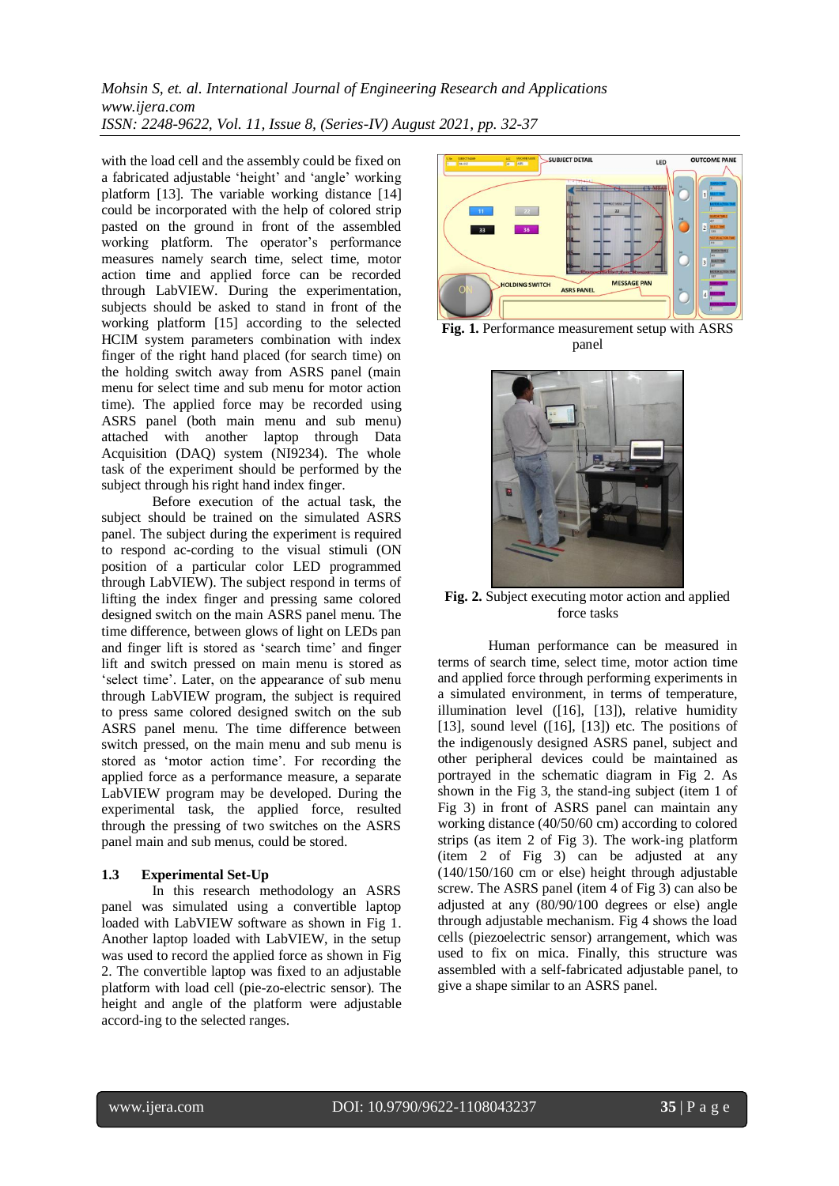*Mohsin S, et. al. International Journal of Engineering Research and Applications www.ijera.com ISSN: 2248-9622, Vol. 11, Issue 8, (Series-IV) August 2021, pp. 32-37*

with the load cell and the assembly could be fixed on a fabricated adjustable 'height' and 'angle' working platform [13]. The variable working distance [14] could be incorporated with the help of colored strip pasted on the ground in front of the assembled working platform. The operator's performance measures namely search time, select time, motor action time and applied force can be recorded through LabVIEW. During the experimentation, subjects should be asked to stand in front of the working platform [15] according to the selected HCIM system parameters combination with index finger of the right hand placed (for search time) on the holding switch away from ASRS panel (main menu for select time and sub menu for motor action time). The applied force may be recorded using ASRS panel (both main menu and sub menu) attached with another laptop through Data Acquisition (DAQ) system (NI9234). The whole task of the experiment should be performed by the subject through his right hand index finger.

Before execution of the actual task, the subject should be trained on the simulated ASRS panel. The subject during the experiment is required to respond ac-cording to the visual stimuli (ON position of a particular color LED programmed through LabVIEW). The subject respond in terms of lifting the index finger and pressing same colored designed switch on the main ASRS panel menu. The time difference, between glows of light on LEDs pan and finger lift is stored as 'search time' and finger lift and switch pressed on main menu is stored as 'select time'. Later, on the appearance of sub menu through LabVIEW program, the subject is required to press same colored designed switch on the sub ASRS panel menu. The time difference between switch pressed, on the main menu and sub menu is stored as 'motor action time'. For recording the applied force as a performance measure, a separate LabVIEW program may be developed. During the experimental task, the applied force, resulted through the pressing of two switches on the ASRS panel main and sub menus, could be stored.

### **1.3 Experimental Set-Up**

In this research methodology an ASRS panel was simulated using a convertible laptop loaded with LabVIEW software as shown in Fig 1. Another laptop loaded with LabVIEW, in the setup was used to record the applied force as shown in Fig 2. The convertible laptop was fixed to an adjustable platform with load cell (pie-zo-electric sensor). The height and angle of the platform were adjustable accord-ing to the selected ranges.



**Fig. 1.** Performance measurement setup with ASRS panel



**Fig. 2.** Subject executing motor action and applied force tasks

Human performance can be measured in terms of search time, select time, motor action time and applied force through performing experiments in a simulated environment, in terms of temperature, illumination level ([16], [13]), relative humidity [13], sound level  $(16]$ , [13]) etc. The positions of the indigenously designed ASRS panel, subject and other peripheral devices could be maintained as portrayed in the schematic diagram in Fig 2. As shown in the Fig 3, the stand-ing subject (item 1 of Fig 3) in front of ASRS panel can maintain any working distance (40/50/60 cm) according to colored strips (as item 2 of Fig 3). The work-ing platform (item 2 of Fig 3) can be adjusted at any (140/150/160 cm or else) height through adjustable screw. The ASRS panel (item 4 of Fig 3) can also be adjusted at any (80/90/100 degrees or else) angle through adjustable mechanism. Fig 4 shows the load cells (piezoelectric sensor) arrangement, which was used to fix on mica. Finally, this structure was assembled with a self-fabricated adjustable panel, to give a shape similar to an ASRS panel.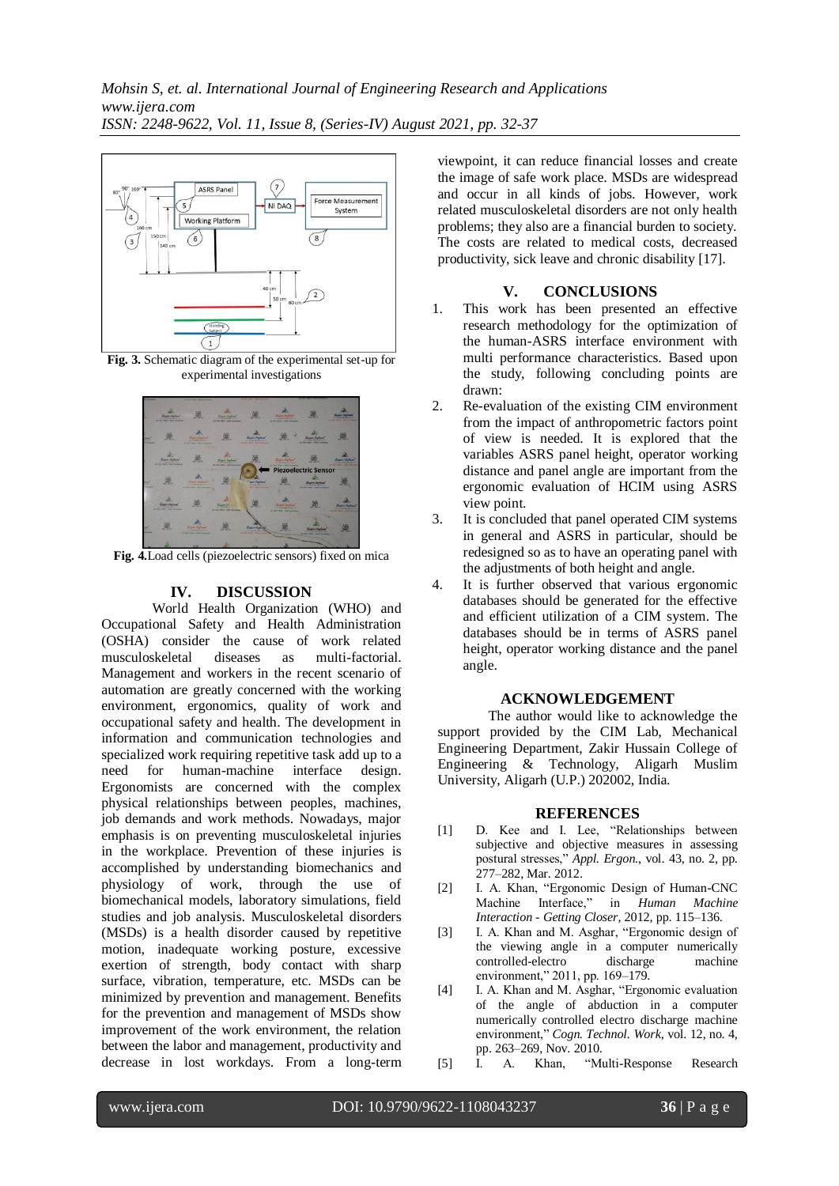

**Fig. 3.** Schematic diagram of the experimental set-up for experimental investigations



**Fig. 4.**Load cells (piezoelectric sensors) fixed on mica

# **IV. DISCUSSION**

World Health Organization (WHO) and Occupational Safety and Health Administration (OSHA) consider the cause of work related musculoskeletal diseases as multi-factorial. Management and workers in the recent scenario of automation are greatly concerned with the working environment, ergonomics, quality of work and occupational safety and health. The development in information and communication technologies and specialized work requiring repetitive task add up to a need for human-machine interface design. Ergonomists are concerned with the complex physical relationships between peoples, machines, job demands and work methods. Nowadays, major emphasis is on preventing musculoskeletal injuries in the workplace. Prevention of these injuries is accomplished by understanding biomechanics and physiology of work, through the use of biomechanical models, laboratory simulations, field studies and job analysis. Musculoskeletal disorders (MSDs) is a health disorder caused by repetitive motion, inadequate working posture, excessive exertion of strength, body contact with sharp surface, vibration, temperature, etc. MSDs can be minimized by prevention and management. Benefits for the prevention and management of MSDs show improvement of the work environment, the relation between the labor and management, productivity and decrease in lost workdays. From a long-term viewpoint, it can reduce financial losses and create the image of safe work place. MSDs are widespread and occur in all kinds of jobs. However, work related musculoskeletal disorders are not only health problems; they also are a financial burden to society. The costs are related to medical costs, decreased productivity, sick leave and chronic disability [17].

# **V. CONCLUSIONS**

- 1. This work has been presented an effective research methodology for the optimization of the human-ASRS interface environment with multi performance characteristics. Based upon the study, following concluding points are drawn:
- 2. Re-evaluation of the existing CIM environment from the impact of anthropometric factors point of view is needed. It is explored that the variables ASRS panel height, operator working distance and panel angle are important from the ergonomic evaluation of HCIM using ASRS view point.
- 3. It is concluded that panel operated CIM systems in general and ASRS in particular, should be redesigned so as to have an operating panel with the adjustments of both height and angle.
- 4. It is further observed that various ergonomic databases should be generated for the effective and efficient utilization of a CIM system. The databases should be in terms of ASRS panel height, operator working distance and the panel angle.

# **ACKNOWLEDGEMENT**

The author would like to acknowledge the support provided by the CIM Lab, Mechanical Engineering Department, Zakir Hussain College of Engineering & Technology, Aligarh Muslim University, Aligarh (U.P.) 202002, India.

# **REFERENCES**

- [1] D. Kee and I. Lee, "Relationships between subjective and objective measures in assessing postural stresses," *Appl. Ergon.*, vol. 43, no. 2, pp. 277–282, Mar. 2012.
- [2] I. A. Khan, "Ergonomic Design of Human-CNC Machine Interface," in *Human Machine Interaction - Getting Closer*, 2012, pp. 115–136.
- [3] I. A. Khan and M. Asghar, "Ergonomic design of the viewing angle in a computer numerically controlled-electro discharge machine environment," 2011, pp. 169–179.
- [4] I. A. Khan and M. Asghar, "Ergonomic evaluation of the angle of abduction in a computer numerically controlled electro discharge machine environment," *Cogn. Technol. Work*, vol. 12, no. 4, pp. 263–269, Nov. 2010.
- [5] I. A. Khan, "Multi-Response Research